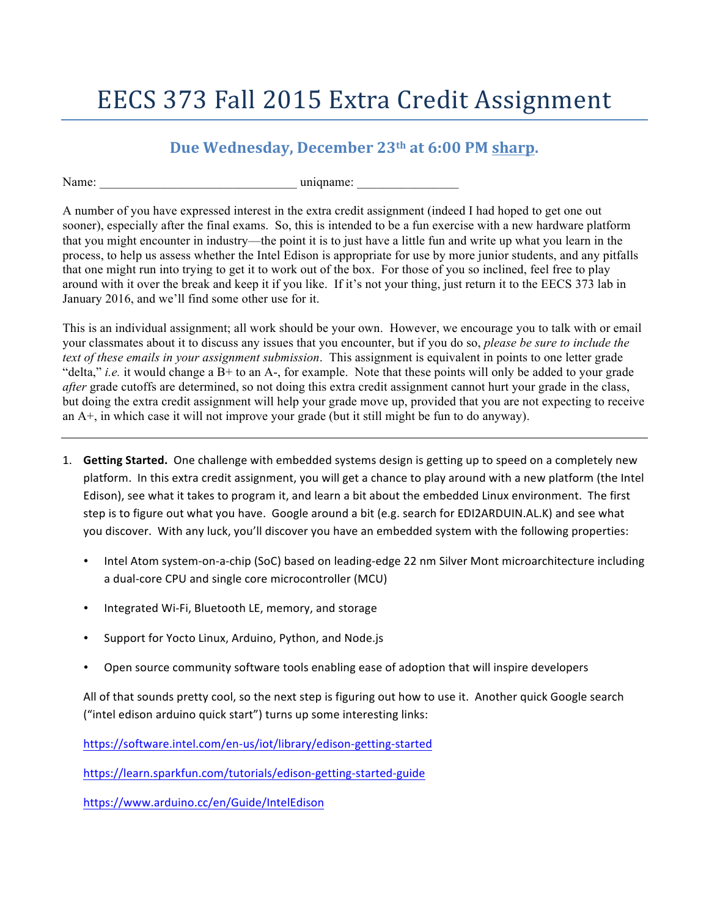## EECS 373 Fall 2015 Extra Credit Assignment

## **Due Wednesday, December** 23<sup>th</sup> at 6:00 PM sharp.

Name: <u>uniqname</u>:

A number of you have expressed interest in the extra credit assignment (indeed I had hoped to get one out sooner), especially after the final exams. So, this is intended to be a fun exercise with a new hardware platform that you might encounter in industry—the point it is to just have a little fun and write up what you learn in the process, to help us assess whether the Intel Edison is appropriate for use by more junior students, and any pitfalls that one might run into trying to get it to work out of the box. For those of you so inclined, feel free to play around with it over the break and keep it if you like. If it's not your thing, just return it to the EECS 373 lab in January 2016, and we'll find some other use for it.

This is an individual assignment; all work should be your own. However, we encourage you to talk with or email your classmates about it to discuss any issues that you encounter, but if you do so, *please be sure to include the text of these emails in your assignment submission*. This assignment is equivalent in points to one letter grade "delta," *i.e.* it would change a B+ to an A-, for example. Note that these points will only be added to your grade *after* grade cutoffs are determined, so not doing this extra credit assignment cannot hurt your grade in the class, but doing the extra credit assignment will help your grade move up, provided that you are not expecting to receive an A+, in which case it will not improve your grade (but it still might be fun to do anyway).

- 1. **Getting Started.** One challenge with embedded systems design is getting up to speed on a completely new platform. In this extra credit assignment, you will get a chance to play around with a new platform (the Intel Edison), see what it takes to program it, and learn a bit about the embedded Linux environment. The first step is to figure out what you have. Google around a bit (e.g. search for EDI2ARDUIN.AL.K) and see what you discover. With any luck, you'll discover you have an embedded system with the following properties:
	- Intel Atom system-on-a-chip (SoC) based on leading-edge 22 nm Silver Mont microarchitecture including a dual-core CPU and single core microcontroller (MCU)
	- Integrated Wi-Fi, Bluetooth LE, memory, and storage
	- Support for Yocto Linux, Arduino, Python, and Node.js
	- Open source community software tools enabling ease of adoption that will inspire developers

All of that sounds pretty cool, so the next step is figuring out how to use it. Another quick Google search ("intel edison arduino quick start") turns up some interesting links:

https://software.intel.com/en-us/iot/library/edison-getting-started

https://learn.sparkfun.com/tutorials/edison-getting-started-guide

https://www.arduino.cc/en/Guide/IntelEdison